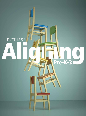

 $\frac{1}{\text{Pre-K-3}}$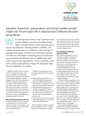

**series focused on aligning early learning communities.**

## Education researchers, policymakers, and thought leaders provide insight into the principal's role in aligning early childhood education. **By Susan McLester**

e've all experienced those "Aha!" moments when a truth suddenly comes to us. For Rhian Evans Allvin, executive director of the National Association for the Education of Young Children (NAEYC), one of those moments came at a conference some years ago. A principal there spoke of how he sent out letters to parents of newborns in his district, welcoming them into the learning community and offering a list of available early childhood resources and opportunities. "It was a reminder of the power [that] a principal has to impact the long-term trajectory of a child's life," says Allvin.

NAESP's recently released *Leading Pre-K-3 Learning Communities: Competencies for Effective Principal Practice*  reinforces the importance of this kind of principal participation in family engagement as well as in professional training, evaluation, and other key elements in early childhood education. This article taps into the expertise of key policymakers, researchers, and thought leaders who convened at the October 2014 launch event of this new body of work for a discussion of the policy, practice, and implications of aligning pre-K-3 education.

### **What Quality Preschool Looks Like**

In order to realize the vision of quality preschool for all, school leaders, parents, caregivers, policymakers, and others must share an understanding of its essential elements.

NAESP Executive Director Gail Connelly summarizes those elements as follows:

- $\blacksquare$  High-quality preschool that is connected to full-day kindergarten;
- State early childhood and pre-K standards that are aligned and drive state and local education decisions;
- $\blacksquare$  Developmentally appropriate curriculum through grade 3 that is mindful of child development and the social and emotional learning that fosters young children's growth; and
- $\blacksquare$  Assessment practices that are developmentally appropriate and useful to teachers for instruction.

Recent statistics provide a snapshot of the challenges we face to achieve this vision. Currently, fewer than 50

percent of four-year-olds are in publically supported pre-K programs; somewhere around 4 percent are in publically funded preschool. Only six out of 10 American students have access to full-day kindergarten.

### **The Challenge of Aligning Separate Worlds**

Successfully navigating the pre-K-3 continuum requires a principal to essentially straddle the separate universes of birth to age 5 and K-12, each with their separate histories of infrastructure, preparation, policy, and funding streams. With no one-size-fits-all approach to the pre-K-3 world, the common goal of providing high-quality education to every child and improving outcomes in the earliest years is where the crossover lies. But alignment remains a tough challenge.

"We have a birth through [age] 3 system; we have an infant/toddler system; and we have a three- and four-year-old system that is sometimes tied to the infant/toddler piece, sometimes not," says Libby Doggett, deputy assistant secretary for policy and early learning at the U.S. Department of Education. "We also have pre-K that's tied to schools so this is really the bridge. But we've got to make this bridge work and that's going to require alignment across systems that haven't worked together before," says Doggett.

As an example, Doggett points to the different standards, curriculum, and assessments for the range of early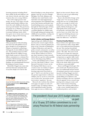learning programs including Head Start, public pre-K and childcare, private nursery schools, and other organizations that serve young children.

One of the single greatest challenges, she says, is the legacy of traditionally underfunded childcare that leaves the early childhood education system poorly funded. The good news, she points out, is Obama's investment of \$1 billion in Race to the Top Early Learning Challenge funds, which have gone out to twenty states and are helping to align pre-K-3 learning.

### **State and Local Agencies Taking Initiative**

Other proposals for federal funding have been met with gridlock in Congress, though it is encouraging that Obama is committed to advancing a bold agenda of early childhood education. The president's fiscal year 2015 budget allocates \$1.3 billion in mandatory funds, as part of a 10-year, \$75 billion commitment to a voluntary Preschool for All federal-state partnership, and \$500 million—double last year's funding—for matching-funds Preschool Development Grants to states.

Meanwhile, Doggett says, many state and local educators and policy leaders say they simply can't wait for this

### Online **Principal**

Access the following Web resources by visiting *Principal* magazine online: www.naesp. org/JanFeb15

Download the executive summary as well as the full version of *Leading Pre-K-3 Learning Communities*.

For additional policy perspectives, read "The Path to Lifelong Success Begins With P-3," by Kristie Kauerz and "Spreading the Word on Early Childhood Education," by Helen Blank and Karen Schulman, from the *Principal* magazine archives.

The U.S. Department of Education's Early Learning Web page outlines the department's early learning plan, and features fact sheets and other resources.

federal funding to come along and are playing "catch up" now. For example, Michigan, New York, Alabama, and California, have raised funds or instituted their own state-supported preschool programs. Even individual cities, such as San Antonio and Seattle, have found funding sources, such as grants through the National League of Cities. The grants promote efforts to create a seamless pipeline for children ages 0-8 through uniting and training early childhood care providers, creating very early childhood centers, and more.

### **Earlier Is Better and Dosage Matters**

Approaching early childhood education from the research angle is Kristie Kauerz, who is a research assistant professor at the University of Washington, College of Education, and expert in policy, research, and practice, as well as birth-to-age-5 system building and K-12 reform. Kauerz believes we need to pay closer attention to brain research, which tells us to get the earliest possible start in educating young children.

In line with findings such as "Never Too Late. But Earlier is Better," from Harvard University's Center on the Developing Child, Kauerz says its crucial to seize our window of opportunity for influencing children's learning trajectories from birth to age 8. "And it's not only that we have the greatest opportunity to influence children, but we can do so at the least cost. So this is the 'prevention versus intervention' argument," she says.

Research also confirms that achievement gaps can appear as early as 9 months of age, according to Kauerz, with longitudinal studies showing these gaps increase as children age.

Based on that research, Kauerz asks, "Why do we wait to start addressing them at third grade?"

Kauerz also identifies dosage as the "magic sauce" for success in pre-K-3, saying that one year of high-quality pre-K is not enough. It needs to be followed by a second dose of highquality, full-day kindergarten, and high-quality doses of first grade, second grade, and third grade. "We need to move out of this 'silver bullet' approach thinking that just one investment in one year is going to make the difference," says Kauerz.

#### **Preschool Quality Matters**

Kauerz believes the right kinds of classroom experiences make a huge difference to successful preschool programs; she says "they must go beyond just access to preschool or a full-day kindergarten." She adds, "We need to look at what goes on inside the classroom because social and emotional skills are as important as cognitive skills, [and] we need to have really comprehensive approaches to child assessment that looks at the whole child, not just their pre-literacy or pre-math skills."

Kauerz and Doggett both agree this area needs work. Preschool teachers have not traditionally had the benefit of training in practices such as mentoring and coaching. Doggett says she's too often seen young children sitting quietly filling out worksheets, and teachers teaching to the test—methods directly opposite of new, research supporting tactics using art, music, and other creative means of learning.

Kauerz also cautions policymakers to take a more mindful approach to traditional policies, such as third-

The president's fiscal year 2015 budget allocates \$1.3 billion in mandatory funds, as part of a 10-year, \$75 billion commitment to a voluntary Preschool for All federal-state partnership